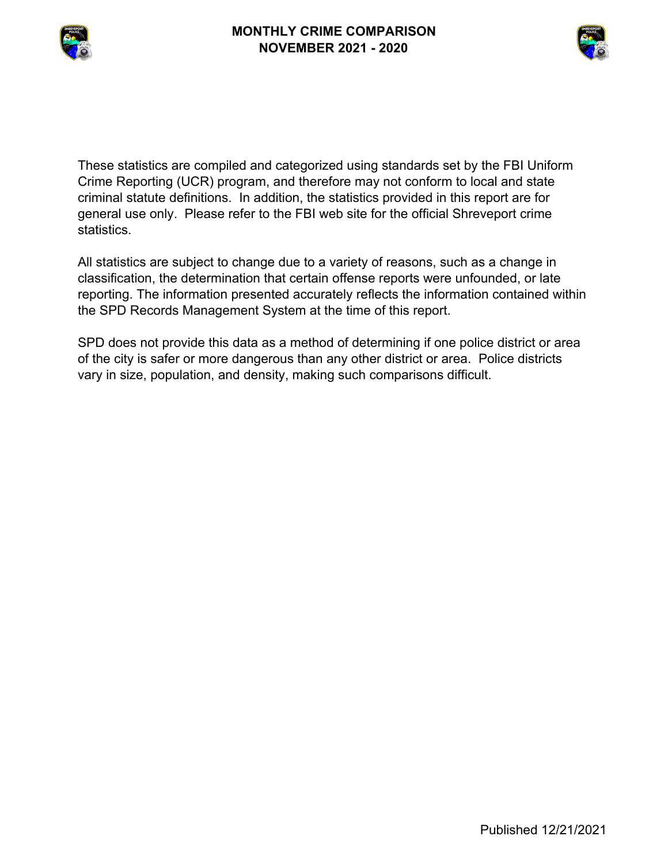



These statistics are compiled and categorized using standards set by the FBI Uniform Crime Reporting (UCR) program, and therefore may not conform to local and state criminal statute definitions. In addition, the statistics provided in this report are for general use only. Please refer to the FBI web site for the official Shreveport crime statistics.

All statistics are subject to change due to a variety of reasons, such as a change in classification, the determination that certain offense reports were unfounded, or late reporting. The information presented accurately reflects the information contained within the SPD Records Management System at the time of this report.

SPD does not provide this data as a method of determining if one police district or area of the city is safer or more dangerous than any other district or area. Police districts vary in size, population, and density, making such comparisons difficult.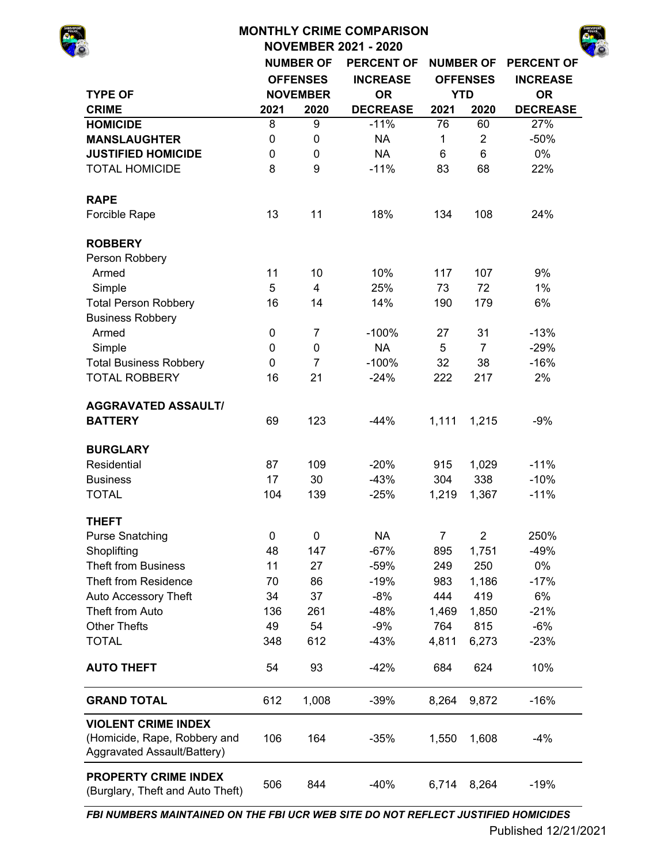|                                                                                           |             |                  | <b>MONTHLY CRIME COMPARISON</b> |                |                  |                   |
|-------------------------------------------------------------------------------------------|-------------|------------------|---------------------------------|----------------|------------------|-------------------|
|                                                                                           |             |                  | <b>NOVEMBER 2021 - 2020</b>     |                |                  |                   |
|                                                                                           |             | <b>NUMBER OF</b> | <b>PERCENT OF</b>               |                | <b>NUMBER OF</b> | <b>PERCENT OF</b> |
|                                                                                           |             | <b>OFFENSES</b>  | <b>INCREASE</b>                 |                | <b>OFFENSES</b>  | <b>INCREASE</b>   |
| <b>TYPE OF</b>                                                                            |             | <b>NOVEMBER</b>  | <b>OR</b>                       |                | <b>YTD</b>       | <b>OR</b>         |
| <b>CRIME</b>                                                                              | 2021        | 2020             | <b>DECREASE</b>                 | 2021           | 2020             | <b>DECREASE</b>   |
| <b>HOMICIDE</b>                                                                           | 8           | 9                | $-11%$                          | 76             | 60               | 27%               |
| <b>MANSLAUGHTER</b>                                                                       | 0           | 0                | <b>NA</b>                       | $\mathbf 1$    | $\overline{2}$   | $-50%$            |
| <b>JUSTIFIED HOMICIDE</b>                                                                 | 0           | $\mathbf 0$      | <b>NA</b>                       | 6              | 6                | 0%                |
| <b>TOTAL HOMICIDE</b>                                                                     | 8           | 9                | $-11%$                          | 83             | 68               | 22%               |
| <b>RAPE</b>                                                                               |             |                  |                                 |                |                  |                   |
| Forcible Rape                                                                             | 13          | 11               | 18%                             | 134            | 108              | 24%               |
| <b>ROBBERY</b>                                                                            |             |                  |                                 |                |                  |                   |
| Person Robbery                                                                            |             |                  |                                 |                |                  |                   |
| Armed                                                                                     | 11          | 10               | 10%                             | 117            | 107              | 9%                |
| Simple                                                                                    | 5           | $\overline{4}$   | 25%                             | 73             | 72               | 1%                |
| <b>Total Person Robbery</b>                                                               | 16          | 14               | 14%                             | 190            | 179              | 6%                |
| <b>Business Robbery</b>                                                                   |             |                  |                                 |                |                  |                   |
| Armed                                                                                     | $\mathbf 0$ | $\overline{7}$   | $-100%$                         | 27             | 31               | $-13%$            |
| Simple                                                                                    | $\mathbf 0$ | 0                | <b>NA</b>                       | 5              | $\overline{7}$   | $-29%$            |
| <b>Total Business Robbery</b>                                                             | $\mathbf 0$ | $\overline{7}$   | $-100%$                         | 32             | 38               | $-16%$            |
| <b>TOTAL ROBBERY</b>                                                                      | 16          | 21               | $-24%$                          | 222            | 217              | 2%                |
| <b>AGGRAVATED ASSAULT/</b>                                                                |             |                  |                                 |                |                  |                   |
| <b>BATTERY</b>                                                                            | 69          | 123              | $-44%$                          | 1,111          | 1,215            | $-9%$             |
| <b>BURGLARY</b>                                                                           |             |                  |                                 |                |                  |                   |
| Residential                                                                               | 87          | 109              | $-20%$                          | 915            | 1,029            | $-11%$            |
| <b>Business</b>                                                                           | 17          | 30               | $-43%$                          | 304            | 338              | $-10%$            |
| <b>TOTAL</b>                                                                              | 104         | 139              | $-25%$                          | 1,219          | 1,367            | $-11%$            |
| <b>THEFT</b>                                                                              |             |                  |                                 |                |                  |                   |
| <b>Purse Snatching</b>                                                                    | $\mathbf 0$ | 0                | <b>NA</b>                       | $\overline{7}$ | $\overline{2}$   | 250%              |
| Shoplifting                                                                               | 48          | 147              | $-67%$                          | 895            | 1,751            | $-49%$            |
| <b>Theft from Business</b>                                                                | 11          | 27               | $-59%$                          | 249            | 250              | 0%                |
| Theft from Residence                                                                      | 70          | 86               | $-19%$                          | 983            | 1,186            | $-17%$            |
| Auto Accessory Theft                                                                      | 34          | 37               | $-8%$                           | 444            | 419              | 6%                |
| Theft from Auto                                                                           | 136         | 261              | $-48%$                          | 1,469          | 1,850            | $-21%$            |
| <b>Other Thefts</b>                                                                       | 49          | 54               | $-9%$                           | 764            | 815              | $-6%$             |
| <b>TOTAL</b>                                                                              | 348         | 612              | $-43%$                          | 4,811          | 6,273            | $-23%$            |
| <b>AUTO THEFT</b>                                                                         | 54          | 93               | $-42%$                          | 684            | 624              | 10%               |
| <b>GRAND TOTAL</b>                                                                        | 612         | 1,008            | $-39%$                          | 8,264          | 9,872            | $-16%$            |
| <b>VIOLENT CRIME INDEX</b><br>(Homicide, Rape, Robbery and<br>Aggravated Assault/Battery) | 106         | 164              | $-35%$                          | 1,550          | 1,608            | $-4%$             |

*FBI NUMBERS MAINTAINED ON THE FBI UCR WEB SITE DO NOT REFLECT JUSTIFIED HOMICIDES*

**PROPERTY CRIME INDEX**  (Burglary, Theft and Auto Theft)

506 844 -40% 6,714 8,264 -19%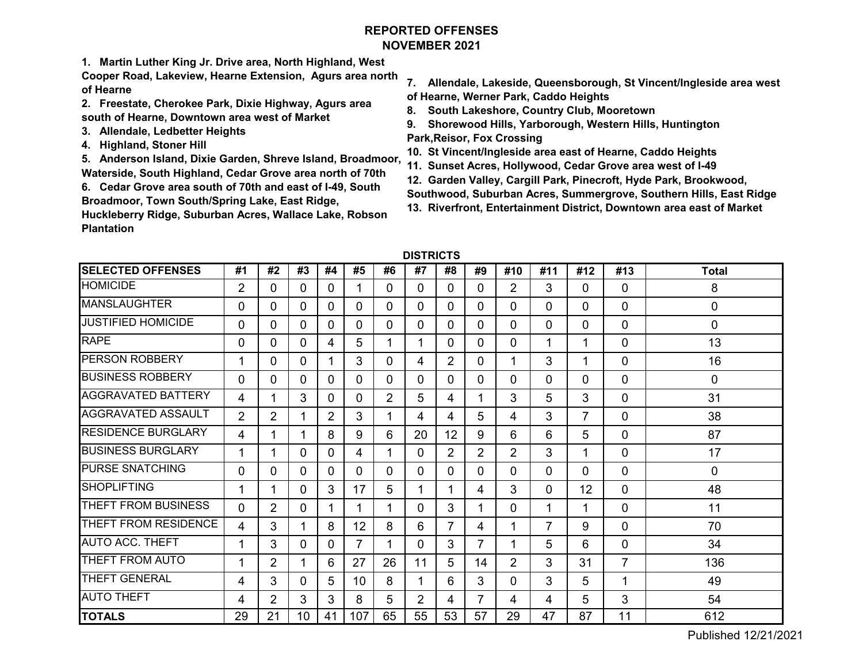# **REPORTED OFFENSESNOVEMBER 2021**

**1. Martin Luther King Jr. Drive area, North Highland, West** 

**Cooper Road, Lakeview, Hearne Extension, Agurs area north of Hearne**

- **2. Freestate, Cherokee Park, Dixie Highway, Agurs area south of Hearne, Downtown area west of Market**
- **3. Allendale, Ledbetter Heights**
- **4. Highland, Stoner Hill**

**5. Anderson Island, Dixie Garden, Shreve Island, Broadmoor, Waterside, South Highland, Cedar Grove area north of 70th**

**6. Cedar Grove area south of 70th and east of I-49, South Broadmoor, Town South/Spring Lake, East Ridge,** 

**Huckleberry Ridge, Suburban Acres, Wallace Lake, Robson Plantation** 

- **7. Allendale, Lakeside, Queensborough, St Vincent/Ingleside area west of Hearne, Werner Park, Caddo Heights**
- **8. South Lakeshore, Country Club, Mooretown**
- **9. Shorewood Hills, Yarborough, Western Hills, Huntington Park,Reisor, Fox Crossing**
- **10. St Vincent/Ingleside area east of Hearne, Caddo Heights**
- **11. Sunset Acres, Hollywood, Cedar Grove area west of I-49**
- **12. Garden Valley, Cargill Park, Pinecroft, Hyde Park, Brookwood,**
- **Southwood, Suburban Acres, Summergrove, Southern Hills, East Ridge**
- **13. Riverfront, Entertainment District, Downtown area east of Market**

| <b>DISTRICTS</b> |
|------------------|
|------------------|

| <b>SELECTED OFFENSES</b>   | #1             | #2             | #3       | #4             | #5       | #6             | #7             | #8             | #9             | #10            | #11      | #12            | #13            | <b>Total</b>   |
|----------------------------|----------------|----------------|----------|----------------|----------|----------------|----------------|----------------|----------------|----------------|----------|----------------|----------------|----------------|
| <b>HOMICIDE</b>            | $\overline{2}$ | $\Omega$       | 0        | $\Omega$       | 1        | 0              | 0              | 0              | $\Omega$       | $\overline{2}$ | 3        | 0              | $\Omega$       | 8              |
| <b>MANSLAUGHTER</b>        | 0              | $\mathbf{0}$   | 0        | 0              | 0        | 0              | 0              | 0              | 0              | 0              | $\Omega$ | 0              | $\Omega$       | 0              |
| <b>JUSTIFIED HOMICIDE</b>  | 0              | $\mathbf{0}$   | $\Omega$ | 0              | 0        | $\Omega$       | 0              | 0              | 0              | 0              | 0        | 0              | 0              | $\overline{0}$ |
| <b>RAPE</b>                | 0              | $\Omega$       | 0        | 4              | 5        | 1              | 1              | 0              | 0              | 0              | 1        |                | $\Omega$       | 13             |
| <b>PERSON ROBBERY</b>      | 1              | $\Omega$       | $\Omega$ |                | 3        | $\mathbf{0}$   | 4              | $\overline{2}$ | 0              | 1              | 3        |                | 0              | 16             |
| <b>BUSINESS ROBBERY</b>    | 0              | $\Omega$       | 0        | 0              | 0        | $\Omega$       | 0              | 0              | 0              | $\Omega$       | 0        | $\Omega$       | $\mathbf{0}$   | 0              |
| <b>AGGRAVATED BATTERY</b>  | 4              | 1              | 3        | $\Omega$       | $\Omega$ | $\overline{2}$ | 5              | 4              | 1              | 3              | 5        | 3              | $\Omega$       | 31             |
| <b>AGGRAVATED ASSAULT</b>  | $\overline{2}$ | $\overline{2}$ |          | $\overline{2}$ | 3        |                | 4              | 4              | 5              | 4              | 3        | $\overline{7}$ | $\mathbf{0}$   | 38             |
| <b>RESIDENCE BURGLARY</b>  | 4              | 1              | 1        | 8              | 9        | 6              | 20             | 12             | 9              | 6              | 6        | 5              | 0              | 87             |
| <b>BUSINESS BURGLARY</b>   | 1              | 1              | 0        | $\Omega$       | 4        |                | 0              | $\overline{2}$ | $\overline{2}$ | $\overline{2}$ | 3        | 1              | $\overline{0}$ | 17             |
| <b>PURSE SNATCHING</b>     | 0              | $\mathbf{0}$   | 0        | $\Omega$       | 0        | $\Omega$       | 0              | 0              | 0              | $\Omega$       | $\Omega$ | 0              | $\mathbf{0}$   | 0              |
| <b>SHOPLIFTING</b>         | 1              | 1              | 0        | 3              | 17       | 5              | 1              |                | 4              | 3              | 0        | 12             | $\Omega$       | 48             |
| <b>THEFT FROM BUSINESS</b> | 0              | $\overline{2}$ | 0        | 1              | 1        | 1              | 0              | 3              | 1              | $\Omega$       | 1        |                | 0              | 11             |
| THEFT FROM RESIDENCE       | 4              | 3              |          | 8              | 12       | 8              | 6              | $\overline{7}$ | 4              | ٠              | 7        | 9              | 0              | 70             |
| <b>AUTO ACC. THEFT</b>     | 1              | 3              | 0        | 0              | 7        |                | 0              | 3              | 7              | ٠              | 5        | 6              | 0              | 34             |
| <b>THEFT FROM AUTO</b>     |                | $\overline{2}$ |          | 6              | 27       | 26             | 11             | 5              | 14             | 2              | 3        | 31             | 7              | 136            |
| <b>THEFT GENERAL</b>       | 4              | 3              | $\Omega$ | 5              | 10       | 8              | 1              | 6              | 3              | 0              | 3        | 5              | 1              | 49             |
| <b>AUTO THEFT</b>          | 4              | $\overline{2}$ | 3        | 3              | 8        | 5              | $\overline{2}$ | 4              | 7              | 4              | 4        | 5              | 3              | 54             |
| <b>TOTALS</b>              | 29             | 21             | 10       | 41             | 107      | 65             | 55             | 53             | 57             | 29             | 47       | 87             | 11             | 612            |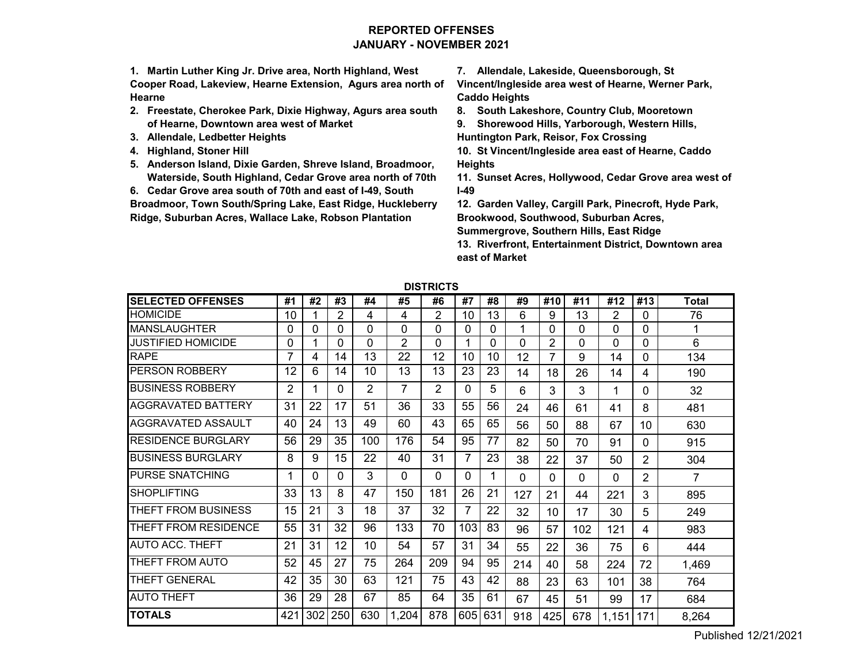# **REPORTED OFFENSESJANUARY - NOVEMBER 2021**

**1. Martin Luther King Jr. Drive area, North Highland, West Cooper Road, Lakeview, Hearne Extension, Agurs area north of Hearne**

- **2. Freestate, Cherokee Park, Dixie Highway, Agurs area south of Hearne, Downtown area west of Market**
- **3. Allendale, Ledbetter Heights**
- **4. Highland, Stoner Hill**
- **5. Anderson Island, Dixie Garden, Shreve Island, Broadmoor, Waterside, South Highland, Cedar Grove area north of 70th**

**6. Cedar Grove area south of 70th and east of I-49, South** 

**Broadmoor, Town South/Spring Lake, East Ridge, Huckleberry Ridge, Suburban Acres, Wallace Lake, Robson Plantation** 

**7. Allendale, Lakeside, Queensborough, St** 

**Vincent/Ingleside area west of Hearne, Werner Park, Caddo Heights**

**8. South Lakeshore, Country Club, Mooretown**

**9. Shorewood Hills, Yarborough, Western Hills, Huntington Park, Reisor, Fox Crossing**

**10. St Vincent/Ingleside area east of Hearne, Caddo Heights**

**11. Sunset Acres, Hollywood, Cedar Grove area west of I-49**

**12. Garden Valley, Cargill Park, Pinecroft, Hyde Park, Brookwood, Southwood, Suburban Acres,** 

**Summergrove, Southern Hills, East Ridge**

**13. Riverfront, Entertainment District, Downtown area east of Market**

|                           |     |     |          |          |       | UIV I I VIV I V |     |     |          |          |     |       |                |       |
|---------------------------|-----|-----|----------|----------|-------|-----------------|-----|-----|----------|----------|-----|-------|----------------|-------|
| <b>SELECTED OFFENSES</b>  | #1  | #2  | #3       | #4       | #5    | #6              | #7  | #8  | #9       | #10      | #11 | #12   | #13            | Total |
| <b>HOMICIDE</b>           | 10  |     | 2        | 4        | 4     | 2               | 10  | 13  | 6        | 9        | 13  | 2     | $\Omega$       | 76    |
| <b>MANSLAUGHTER</b>       | 0   | U   | 0        | 0        | 0     | 0               | 0   | 0   | 1        | $\Omega$ | 0   | 0     | $\Omega$       |       |
| JUSTIFIED HOMICIDE        | 0   |     | 0        | $\Omega$ | 2     | 0               | 1   | 0   | 0        | 2        | 0   | 0     | $\Omega$       | 6     |
| <b>RAPE</b>               | 7   | 4   | 14       | 13       | 22    | 12              | 10  | 10  | 12       | 7        | 9   | 14    | $\Omega$       | 134   |
| PERSON ROBBERY            | 12  | 6   | 14       | 10       | 13    | 13              | 23  | 23  | 14       | 18       | 26  | 14    | 4              | 190   |
| <b>BUSINESS ROBBERY</b>   | 2   |     | 0        | 2        |       | 2               | 0   | 5   | 6        | 3        | 3   | 1     | 0              | 32    |
| AGGRAVATED BATTERY        | 31  | 22  | 17       | 51       | 36    | 33              | 55  | 56  | 24       | 46       | 61  | 41    | 8              | 481   |
| AGGRAVATED ASSAULT        | 40  | 24  | 13       | 49       | 60    | 43              | 65  | 65  | 56       | 50       | 88  | 67    | 10             | 630   |
| <b>RESIDENCE BURGLARY</b> | 56  | 29  | 35       | 100      | 176   | 54              | 95  | 77  | 82       | 50       | 70  | 91    | $\Omega$       | 915   |
| <b>BUSINESS BURGLARY</b>  | 8   | 9   | 15       | 22       | 40    | 31              | 7   | 23  | 38       | 22       | 37  | 50    | 2              | 304   |
| <b>PURSE SNATCHING</b>    | 1   | 0   | $\Omega$ | 3        | 0     | 0               | 0   | 1   | $\Omega$ | $\Omega$ | 0   | 0     | $\overline{2}$ | 7     |
| SHOPLIFTING               | 33  | 13  | 8        | 47       | 150   | 181             | 26  | 21  | 127      | 21       | 44  | 221   | 3              | 895   |
| THEFT FROM BUSINESS       | 15  | 21  | 3        | 18       | 37    | 32              | 7   | 22  | 32       | 10       | 17  | 30    | 5              | 249   |
| THEFT FROM RESIDENCE      | 55  | 31  | 32       | 96       | 133   | 70              | 103 | 83  | 96       | 57       | 102 | 121   | 4              | 983   |
| <b>AUTO ACC. THEFT</b>    | 21  | 31  | 12       | 10       | 54    | 57              | 31  | 34  | 55       | 22       | 36  | 75    | 6              | 444   |
| THEFT FROM AUTO           | 52  | 45  | 27       | 75       | 264   | 209             | 94  | 95  | 214      | 40       | 58  | 224   | 72             | 1,469 |
| THEFT GENERAL             | 42  | 35  | 30       | 63       | 121   | 75              | 43  | 42  | 88       | 23       | 63  | 101   | 38             | 764   |
| <b>AUTO THEFT</b>         | 36  | 29  | 28       | 67       | 85    | 64              | 35  | 61  | 67       | 45       | 51  | 99    | 17             | 684   |
| <b>TOTALS</b>             | 421 | 302 | 250      | 630      | 1,204 | 878             | 605 | 631 | 918      | 425      | 678 | 1,151 | 171            | 8,264 |

**DISTRICTS**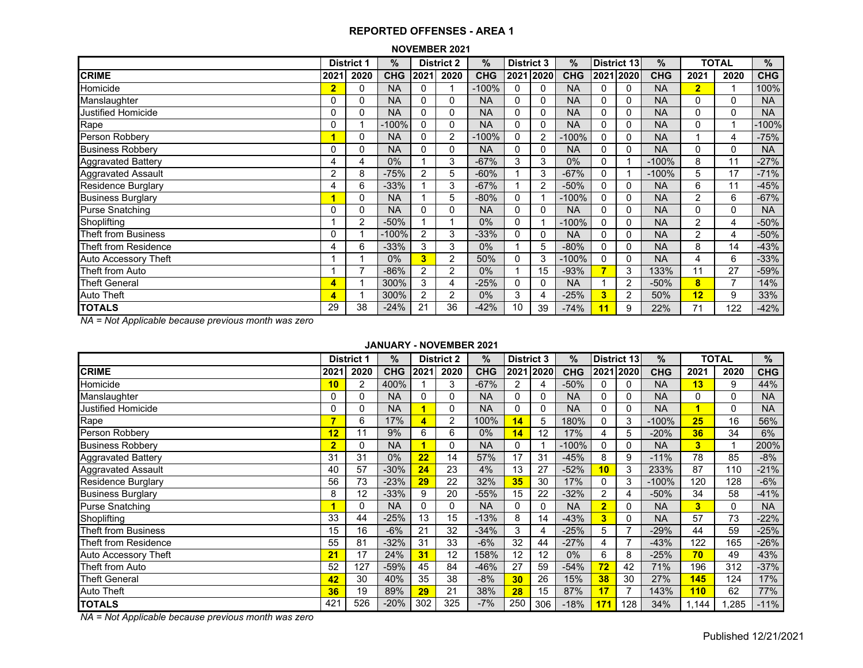#### **NOVEMBER 2021**

|                             |                | <b>District 1</b> | %          |                | <b>District 2</b> | %          | <b>District 3</b> |      | $\%$       |          | District 13    | $\%$       |                         | <b>TOTAL</b>             | %          |
|-----------------------------|----------------|-------------------|------------|----------------|-------------------|------------|-------------------|------|------------|----------|----------------|------------|-------------------------|--------------------------|------------|
| <b>CRIME</b>                | 2021           | 2020              | <b>CHG</b> | 2021           | 2020              | <b>CHG</b> | 2021              | 2020 | <b>CHG</b> |          | 2021 2020      | <b>CHG</b> | 2021                    | 2020                     | <b>CHG</b> |
| Homicide                    | $\overline{2}$ | 0                 | <b>NA</b>  | 0              |                   | $-100%$    | 0                 | 0    | <b>NA</b>  | 0        | 0              | <b>NA</b>  | $\overline{2}$          |                          | 100%       |
| Manslaughter                | 0              | 0                 | <b>NA</b>  | $\mathbf{0}$   | 0                 | <b>NA</b>  | $\Omega$          | 0    | <b>NA</b>  | $\Omega$ | 0              | <b>NA</b>  | 0                       | 0                        | <b>NA</b>  |
| Justified Homicide          | 0              | 0                 | <b>NA</b>  | 0              | 0                 | <b>NA</b>  | $\mathbf{0}$      | 0    | <b>NA</b>  | $\Omega$ | 0              | <b>NA</b>  | $\Omega$                | 0                        | <b>NA</b>  |
| Rape                        | 0              |                   | $-100%$    | $\mathbf{0}$   | 0                 | <b>NA</b>  | 0                 | 0    | <b>NA</b>  | $\Omega$ | 0              | <b>NA</b>  | 0                       |                          | -100%      |
| Person Robbery              |                | 0                 | <b>NA</b>  | 0              | $\overline{2}$    | $-100%$    | 0                 | 2    | $-100%$    | 0        | 0              | <b>NA</b>  |                         | 4                        | $-75%$     |
| <b>Business Robbery</b>     | 0              | 0                 | <b>NA</b>  | 0              | 0                 | <b>NA</b>  | 0                 | 0    | <b>NA</b>  | 0        | 0              | <b>NA</b>  | 0                       | $\Omega$                 | <b>NA</b>  |
| <b>Aggravated Battery</b>   | 4              | 4                 | 0%         |                | 3                 | $-67%$     | 3                 | 3    | 0%         | 0        |                | $-100%$    | 8                       | 11                       | $-27%$     |
| Aggravated Assault          | 2              | 8                 | $-75%$     | $\overline{2}$ | 5                 | $-60%$     |                   | 3    | $-67%$     | 0        |                | $-100%$    | 5                       | 17                       | $-71%$     |
| <b>Residence Burglary</b>   | 4              | 6                 | $-33%$     |                | 3                 | $-67%$     |                   | 2    | $-50%$     | 0        | 0              | <b>NA</b>  | 6                       | 11                       | -45%       |
| <b>Business Burglary</b>    |                | 0                 | <b>NA</b>  |                | 5                 | $-80%$     | $\mathbf{0}$      |      | $-100%$    | 0        | 0              | <b>NA</b>  | $\overline{2}$          | 6                        | $-67%$     |
| <b>Purse Snatching</b>      | 0              | 0                 | <b>NA</b>  | $\Omega$       | 0                 | <b>NA</b>  | 0                 | 0    | <b>NA</b>  | $\Omega$ | 0              | <b>NA</b>  | 0                       | 0                        | <b>NA</b>  |
| Shoplifting                 |                | $\overline{2}$    | $-50%$     |                |                   | 0%         | $\Omega$          |      | $-100%$    | 0        | 0              | <b>NA</b>  | $\overline{2}$          | 4                        | $-50%$     |
| Theft from Business         | 0              |                   | $-100%$    | $\overline{2}$ | 3                 | $-33%$     | 0                 |      | <b>NA</b>  | 0        | 0              | <b>NA</b>  | $\overline{2}$          | 4                        | $-50%$     |
| Theft from Residence        | 4              | 6                 | $-33%$     | 3              | 3                 | 0%         |                   | 5    | $-80%$     | 0        | 0              | <b>NA</b>  | 8                       | 14                       | $-43%$     |
| <b>Auto Accessory Theft</b> |                |                   | $0\%$      | 3              | $\overline{2}$    | 50%        | 0                 | 3    | $-100%$    | 0        | 0              | <b>NA</b>  | 4                       | 6                        | $-33%$     |
| Theft from Auto             |                | ⇁                 | $-86%$     | $\overline{2}$ | $\overline{2}$    | 0%         |                   | 15   | $-93%$     |          | 3              | 133%       | 11                      | 27                       | -59%       |
| <b>Theft General</b>        | 4              |                   | 300%       | 3              | 4                 | $-25%$     | $\Omega$          | 0    | <b>NA</b>  |          | 2              | $-50%$     | $\overline{\mathbf{8}}$ | $\overline{\phantom{a}}$ | 14%        |
| <b>Auto Theft</b>           | 4              |                   | 300%       | $\overline{2}$ | $\overline{2}$    | 0%         | 3                 | 4    | $-25%$     | 3        | $\overline{2}$ | 50%        | 12                      | 9                        | 33%        |
| <b>TOTALS</b>               | 29             | 38                | $-24%$     | 21             | 36                | $-42%$     | 10                | 39   | $-74%$     | 11       | 9              | 22%        | 71                      | 122                      | -42%       |

*NA = Not Applicable because previous month was zero*

#### **JANUARY - NOVEMBER 2021**

|                           |                | <b>District 1</b> | $\%$       |          | <b>District 2</b> | %          | <b>District 3</b> |          | $\%$       |                | District 13    | %          |                         | <b>TOTAL</b> | %          |
|---------------------------|----------------|-------------------|------------|----------|-------------------|------------|-------------------|----------|------------|----------------|----------------|------------|-------------------------|--------------|------------|
| <b>CRIME</b>              | 2021           | 2020              | <b>CHG</b> | 2021     | 2020              | <b>CHG</b> | 2021 2020         |          | <b>CHG</b> |                | 2021 2020      | <b>CHG</b> | 2021                    | 2020         | <b>CHG</b> |
| Homicide                  | 10             | $\overline{2}$    | 400%       |          | 3                 | $-67%$     | 2                 | 4        | $-50%$     | 0              | 0              | <b>NA</b>  | 13                      | 9            | 44%        |
| Manslaughter              | 0              | 0                 | <b>NA</b>  | $\Omega$ | 0                 | <b>NA</b>  | $\Omega$          | $\Omega$ | <b>NA</b>  | 0              | 0              | <b>NA</b>  | 0                       | 0            | <b>NA</b>  |
| <b>Justified Homicide</b> | 0              | 0                 | <b>NA</b>  |          | $\Omega$          | <b>NA</b>  | $\mathbf{0}$      | 0        | <b>NA</b>  | 0              | 0              | <b>NA</b>  | и                       | $\Omega$     | <b>NA</b>  |
| Rape                      | 7              | 6                 | 17%        |          | 2                 | 100%       | 14                | 5        | 180%       | 0              | 3              | $-100%$    | 25                      | 16           | 56%        |
| Person Robbery            | 12             | 11                | 9%         | 6        | 6                 | 0%         | 14                | 12       | 17%        | 4              | 5              | $-20%$     | 36                      | 34           | 6%         |
| <b>Business Robbery</b>   | $\overline{2}$ | 0                 | <b>NA</b>  |          | 0                 | <b>NA</b>  | $\mathbf{0}$      |          | $-100%$    | 0              | $\Omega$       | <b>NA</b>  | 3                       |              | 200%       |
| <b>Aggravated Battery</b> | 31             | 31                | 0%         | 22       | 14                | 57%        | 17                | 31       | $-45%$     | 8              | 9              | $-11%$     | 78                      | 85           | $-8%$      |
| <b>Aggravated Assault</b> | 40             | 57                | $-30%$     | 24       | 23                | 4%         | 13                | 27       | $-52%$     | 10             | 3              | 233%       | 87                      | 110          | $-21%$     |
| <b>Residence Burglary</b> | 56             | 73                | $-23%$     | 29       | 22                | 32%        | 35                | 30       | 17%        | 0              | 3              | $-100%$    | 120                     | 128          | $-6%$      |
| <b>Business Burglary</b>  | 8              | 12                | $-33%$     | 9        | 20                | $-55%$     | 15                | 22       | $-32%$     | $\overline{2}$ | 4              | $-50%$     | 34                      | 58           | $-41%$     |
| <b>Purse Snatching</b>    |                | 0                 | <b>NA</b>  | $\Omega$ | 0                 | <b>NA</b>  | 0                 | 0        | <b>NA</b>  | $\overline{2}$ | 0              | <b>NA</b>  | $\overline{\mathbf{3}}$ | $\Omega$     | <b>NA</b>  |
| Shoplifting               | 33             | 44                | $-25%$     | 13       | 15                | $-13%$     | 8                 | 14       | $-43%$     | 3              | $\Omega$       | <b>NA</b>  | 57                      | 73           | $-22%$     |
| Theft from Business       | 15             | 16                | $-6%$      | 21       | 32                | $-34%$     | 3                 | 4        | $-25%$     | 5              | $\overline{7}$ | $-29%$     | 44                      | 59           | $-25%$     |
| Theft from Residence      | 55             | 81                | $-32%$     | 31       | 33                | $-6%$      | 32                | 44       | $-27%$     |                | $\overline{7}$ | $-43%$     | 122                     | 165          | $-26%$     |
| Auto Accessory Theft      | 21             | 17                | 24%        | 31       | 12                | 158%       | 12                | 12       | $0\%$      | 6              | 8              | $-25%$     | 70                      | 49           | 43%        |
| Theft from Auto           | 52             | 127               | $-59%$     | 45       | 84                | $-46%$     | 27                | 59       | $-54%$     | 72             | 42             | 71%        | 196                     | 312          | $-37%$     |
| <b>Theft General</b>      | 42             | 30                | 40%        | 35       | 38                | $-8%$      | 30                | 26       | 15%        | 38             | 30             | 27%        | 145                     | 124          | 17%        |
| <b>Auto Theft</b>         | 36             | 19                | 89%        | 29       | 21                | 38%        | 28                | 15       | 87%        | 17             | $\overline{7}$ | 143%       | 110                     | 62           | 77%        |
| <b>TOTALS</b>             | 421            | 526               | $-20%$     | 302      | 325               | $-7%$      | 250               | 306      | $-18%$     | 171            | 128            | 34%        | .144                    | .285         | $-11%$     |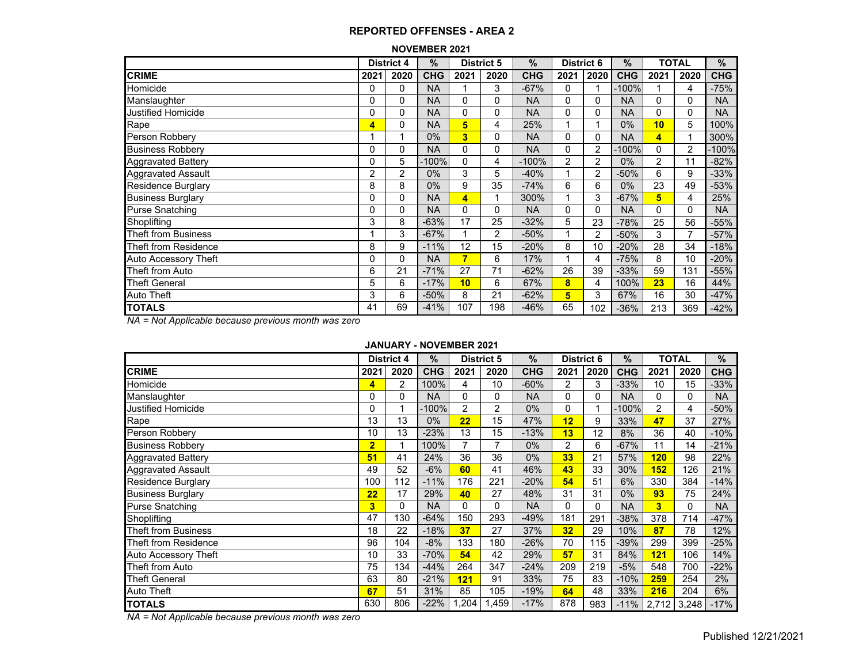#### **NOVEMBER 2021**

|                             |      | <b>District 4</b> | $\%$       |          | <b>District 5</b> | $\frac{9}{6}$ | <b>District 6</b> |                | $\%$       |                | TOTAL          | %          |
|-----------------------------|------|-------------------|------------|----------|-------------------|---------------|-------------------|----------------|------------|----------------|----------------|------------|
| <b>CRIME</b>                | 2021 | 2020              | <b>CHG</b> | 2021     | 2020              | <b>CHG</b>    | 2021              | 2020           | <b>CHG</b> | 2021           | 2020           | <b>CHG</b> |
| Homicide                    | 0    | 0                 | <b>NA</b>  |          | 3                 | $-67%$        | 0                 |                | -100%      |                | 4              | -75%       |
| Manslaughter                | 0    | 0                 | <b>NA</b>  | 0        | 0                 | <b>NA</b>     | 0                 | $\mathbf{0}$   | <b>NA</b>  | 0              | $\Omega$       | <b>NA</b>  |
| <b>Justified Homicide</b>   | 0    | $\Omega$          | <b>NA</b>  | 0        | $\Omega$          | <b>NA</b>     | 0                 | $\mathbf{0}$   | <b>NA</b>  | 0              | $\mathbf{0}$   | <b>NA</b>  |
| Rape                        | 4    | 0                 | <b>NA</b>  | 5        | 4                 | 25%           |                   |                | $0\%$      | 10             | 5              | 100%       |
| Person Robbery              |      |                   | $0\%$      | 3        | 0                 | <b>NA</b>     | 0                 | 0              | <b>NA</b>  | 4              |                | 300%       |
| <b>Business Robbery</b>     | 0    | 0                 | <b>NA</b>  | 0        | 0                 | <b>NA</b>     | 0                 | $\overline{2}$ | $-100%$    | 0              | $\overline{2}$ | -100%      |
| Aggravated Battery          | 0    | 5                 | $-100\%$   | $\Omega$ | 4                 | $-100%$       | 2                 | 2              | $0\%$      | $\overline{2}$ | 11             | -82%       |
| Aggravated Assault          | 2    | $\overline{2}$    | $0\%$      | 3        | 5                 | $-40%$        |                   | 2              | $-50%$     | 6              | 9              | $-33%$     |
| <b>Residence Burglary</b>   | 8    | 8                 | 0%         | 9        | 35                | $-74%$        | 6                 | 6              | $0\%$      | 23             | 49             | -53%       |
| <b>Business Burglary</b>    | 0    | 0                 | <b>NA</b>  | 4        | 1                 | 300%          |                   | 3              | $-67%$     | 5              | 4              | 25%        |
| <b>Purse Snatching</b>      | 0    | $\Omega$          | <b>NA</b>  | 0        | 0                 | <b>NA</b>     | 0                 | $\mathbf{0}$   | <b>NA</b>  | 0              | $\Omega$       | <b>NA</b>  |
| Shoplifting                 | 3    | 8                 | $-63%$     | 17       | 25                | $-32%$        | 5                 | 23             | $-78%$     | 25             | 56             | $-55%$     |
| Theft from Business         |      | 3                 | $-67%$     |          | 2                 | $-50%$        |                   | $\overline{2}$ | $-50%$     | 3              |                | $-57%$     |
| Theft from Residence        | 8    | 9                 | $-11%$     | 12       | 15                | $-20%$        | 8                 | 10             | $-20%$     | 28             | 34             | $-18%$     |
| <b>Auto Accessory Theft</b> | 0    | $\Omega$          | <b>NA</b>  | 7        | 6                 | 17%           |                   | 4              | $-75%$     | 8              | 10             | -20%       |
| Theft from Auto             | 6    | 21                | $-71%$     | 27       | 71                | $-62%$        | 26                | 39             | $-33%$     | 59             | 131            | $-55%$     |
| <b>Theft General</b>        | 5    | 6                 | $-17%$     | 10       | 6                 | 67%           | 8                 | 4              | 100%       | 23             | 16             | 44%        |
| Auto Theft                  | 3    | 6                 | $-50%$     | 8        | 21                | $-62%$        | 5                 | 3              | 67%        | 16             | 30             | $-47%$     |
| <b>TOTALS</b>               | 41   | 69                | $-41%$     | 107      | 198               | $-46%$        | 65                | 102            | $-36%$     | 213            | 369            | -42%       |

*NA = Not Applicable because previous month was zero*

#### **JANUARY - NOVEMBER 2021**

|                            |                | <b>District 4</b> | $\frac{9}{6}$ |                | <b>District 5</b> | $\frac{0}{0}$ | <b>District 6</b> |          | $\%$       |                | <b>TOTAL</b> | %          |
|----------------------------|----------------|-------------------|---------------|----------------|-------------------|---------------|-------------------|----------|------------|----------------|--------------|------------|
| <b>CRIME</b>               | 2021           | 2020              | <b>CHG</b>    | 2021           | 2020              | <b>CHG</b>    | 2021              | 2020     | <b>CHG</b> | 2021           | 2020         | <b>CHG</b> |
| Homicide                   | 4              | $\overline{2}$    | 100%          | 4              | 10                | $-60%$        | 2                 | 3        | $-33%$     | 10             | 15           | $-33%$     |
| Manslaughter               | 0              | 0                 | <b>NA</b>     | 0              | 0                 | <b>NA</b>     | 0                 | 0        | <b>NA</b>  | 0              | 0            | <b>NA</b>  |
| Justified Homicide         | 0              |                   | $-100%$       | $\overline{2}$ | 2                 | 0%            | 0                 |          | $-100%$    | $\overline{2}$ | 4            | $-50%$     |
| Rape                       | 13             | 13                | $0\%$         | 22             | 15                | 47%           | 12                | 9        | 33%        | 47             | 37           | 27%        |
| Person Robbery             | 10             | 13                | $-23%$        | 13             | 15                | $-13%$        | 13                | 12       | 8%         | 36             | 40           | $-10%$     |
| <b>Business Robbery</b>    | $\overline{2}$ |                   | 100%          | 7              | 7                 | 0%            | 2                 | 6        | $-67%$     | 11             | 14           | $-21%$     |
| <b>Aggravated Battery</b>  | 51             | 41                | 24%           | 36             | 36                | 0%            | 33                | 21       | 57%        | 120            | 98           | 22%        |
| <b>Aggravated Assault</b>  | 49             | 52                | $-6%$         | 60             | 41                | 46%           | 43                | 33       | 30%        | 152            | 126          | 21%        |
| <b>Residence Burglary</b>  | 100            | 112               | $-11%$        | 176            | 221               | $-20%$        | 54                | 51       | 6%         | 330            | 384          | $-14%$     |
| <b>Business Burglary</b>   | 22             | 17                | 29%           | 40             | 27                | 48%           | 31                | 31       | $0\%$      | 93             | 75           | 24%        |
| <b>Purse Snatching</b>     | 3              | $\Omega$          | <b>NA</b>     | $\Omega$       | $\Omega$          | <b>NA</b>     | 0                 | $\Omega$ | <b>NA</b>  | 3              | $\Omega$     | <b>NA</b>  |
| Shoplifting                | 47             | 130               | $-64%$        | 150            | 293               | $-49%$        | 181               | 291      | $-38%$     | 378            | 714          | $-47%$     |
| <b>Theft from Business</b> | 18             | 22                | $-18%$        | 37             | 27                | 37%           | 32                | 29       | 10%        | 87             | 78           | 12%        |
| Theft from Residence       | 96             | 104               | $-8%$         | 133            | 180               | $-26%$        | 70                | 115      | $-39%$     | 299            | 399          | $-25%$     |
| Auto Accessory Theft       | 10             | 33                | $-70%$        | 54             | 42                | 29%           | 57                | 31       | 84%        | <b>121</b>     | 106          | 14%        |
| Theft from Auto            | 75             | 134               | $-44%$        | 264            | 347               | $-24%$        | 209               | 219      | $-5%$      | 548            | 700          | $-22%$     |
| <b>Theft General</b>       | 63             | 80                | $-21%$        | 121            | 91                | 33%           | 75                | 83       | $-10%$     | 259            | 254          | 2%         |
| <b>Auto Theft</b>          | 67             | 51                | 31%           | 85             | 105               | $-19%$        | 64                | 48       | 33%        | 216            | 204          | 6%         |
| <b>TOTALS</b>              | 630            | 806               | $-22%$        | .204           | 1,459             | $-17%$        | 878               | 983      | $-11%$     | 2,712          | 3,248        | $-17%$     |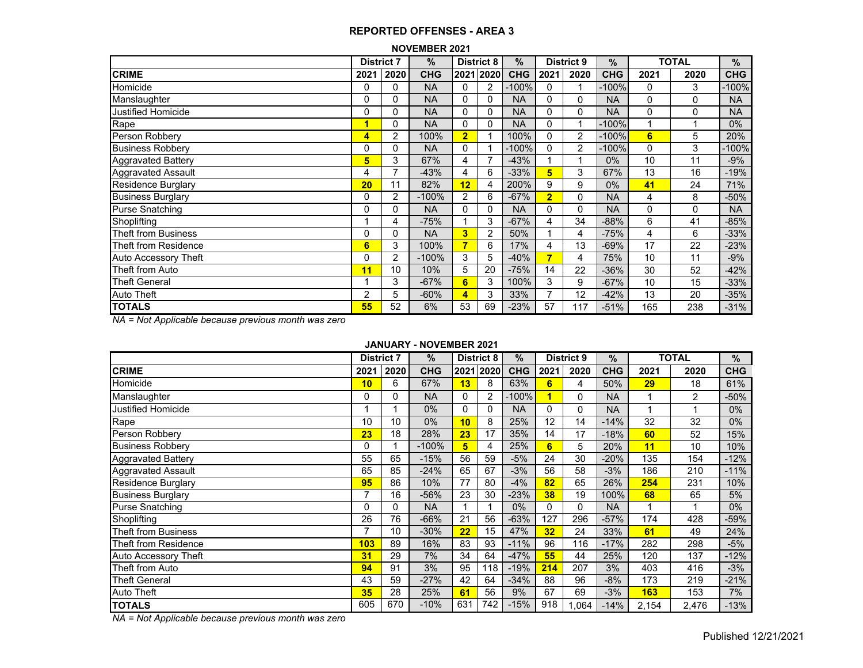| <b>NOVEMBER 2021</b> |  |
|----------------------|--|
|----------------------|--|

|                             | <b>District 7</b> |                | $\%$       |                | <b>District 8</b> | $\%$       |                | <b>District 9</b> | $\%$       |      | <b>TOTAL</b> | $\%$       |
|-----------------------------|-------------------|----------------|------------|----------------|-------------------|------------|----------------|-------------------|------------|------|--------------|------------|
| <b>CRIME</b>                | 2021              | 2020           | <b>CHG</b> | 2021           | 2020              | <b>CHG</b> | 2021           | 2020              | <b>CHG</b> | 2021 | 2020         | <b>CHG</b> |
| Homicide                    |                   | 0              | <b>NA</b>  | $\Omega$       | 2                 | -100%      | 0              |                   | $-100%$    | 0    | 3            | $-100%$    |
| Manslaughter                |                   | 0              | <b>NA</b>  | $\Omega$       | 0                 | <b>NA</b>  | 0              | 0                 | NA         | 0    | 0            | <b>NA</b>  |
| <b>Justified Homicide</b>   |                   | 0              | <b>NA</b>  | $\Omega$       | 0                 | <b>NA</b>  | 0              | 0                 | <b>NA</b>  | 0    | 0            | <b>NA</b>  |
| Rape                        | 1                 | 0              | <b>NA</b>  | 0              | 0                 | <b>NA</b>  | 0              |                   | $-100%$    |      |              | $0\%$      |
| Person Robbery              | 4                 | $\overline{2}$ | 100%       | $\overline{2}$ |                   | 100%       | 0              | 2                 | $-100%$    | 6    | 5            | 20%        |
| <b>Business Robbery</b>     |                   | 0              | <b>NA</b>  | 0              |                   | -100%      | 0              | 2                 | $-100%$    | 0    | 3            | $-100%$    |
| <b>Aggravated Battery</b>   | 5                 | 3              | 67%        | 4              | $\overline{7}$    | $-43%$     |                |                   | $0\%$      | 10   | 11           | $-9%$      |
| <b>Aggravated Assault</b>   | 4                 | $\overline{7}$ | -43%       | 4              | 6                 | $-33%$     | 5              | 3                 | 67%        | 13   | 16           | $-19%$     |
| <b>Residence Burglary</b>   | 20                | 11             | 82%        | 12             | 4                 | 200%       | 9              | 9                 | $0\%$      | 41   | 24           | 71%        |
| <b>Business Burglary</b>    |                   | 2              | $-100%$    | $\overline{2}$ | 6                 | $-67%$     | $\overline{2}$ | $\mathbf{0}$      | <b>NA</b>  | 4    | 8            | $-50%$     |
| <b>Purse Snatching</b>      |                   | 0              | <b>NA</b>  | $\Omega$       | 0                 | <b>NA</b>  | 0              | $\Omega$          | <b>NA</b>  | 0    | 0            | <b>NA</b>  |
| Shoplifting                 |                   | 4              | $-75%$     |                | 3                 | $-67%$     | 4              | 34                | $-88%$     | 6    | 41           | $-85%$     |
| <b>Theft from Business</b>  |                   | $\Omega$       | <b>NA</b>  | 3              | $\overline{2}$    | 50%        |                | 4                 | $-75%$     | 4    | 6            | $-33%$     |
| <b>Theft from Residence</b> | 6                 | 3              | 100%       | 7              | 6                 | 17%        | 4              | 13                | -69%       | 17   | 22           | $-23%$     |
| <b>Auto Accessory Theft</b> |                   | 2              | $-100%$    | 3              | 5                 | $-40%$     | 7              | 4                 | 75%        | 10   | 11           | $-9%$      |
| Theft from Auto             | 11                | 10             | 10%        | 5              | 20                | $-75%$     | 14             | 22                | $-36%$     | 30   | 52           | $-42%$     |
| <b>Theft General</b>        |                   | 3              | $-67%$     | 6              | 3                 | 100%       | 3              | 9                 | $-67%$     | 10   | 15           | $-33%$     |
| Auto Theft                  | 2                 | 5              | $-60%$     | 4              | 3                 | 33%        | 7              | 12                | $-42%$     | 13   | 20           | $-35%$     |
| <b>TOTALS</b>               | 55                | 52             | 6%         | 53             | 69                | $-23%$     | 57             | 117               | $-51%$     | 165  | 238          | $-31%$     |

*NA = Not Applicable because previous month was zero*

## **JANUARY - NOVEMBER 2021**

|                            | <b>District 7</b> |          | $\%$       |          | <b>District 8</b> | $\frac{0}{0}$ |      | <b>District 9</b> | $\%$       |       | <b>TOTAL</b> | %          |
|----------------------------|-------------------|----------|------------|----------|-------------------|---------------|------|-------------------|------------|-------|--------------|------------|
| <b>CRIME</b>               | 2021              | 2020     | <b>CHG</b> |          | 2021 2020         | <b>CHG</b>    | 2021 | 2020              | <b>CHG</b> | 2021  | 2020         | <b>CHG</b> |
| Homicide                   | 10                | 6        | 67%        | 13       | 8                 | 63%           | 6    | 4                 | 50%        | 29    | 18           | 61%        |
| Manslaughter               | 0                 | 0        | <b>NA</b>  | 0        | 2                 | -100%         |      | 0                 | <b>NA</b>  |       | 2            | -50%       |
| Justified Homicide         |                   |          | $0\%$      | $\Omega$ | $\Omega$          | <b>NA</b>     | 0    | 0                 | <b>NA</b>  |       |              | 0%         |
| Rape                       | 10                | 10       | $0\%$      | 10       | 8                 | 25%           | 12   | 14                | $-14%$     | 32    | 32           | 0%         |
| Person Robbery             | 23                | 18       | 28%        | 23       | 17                | 35%           | 14   | 17                | $-18%$     | 60    | 52           | 15%        |
| <b>Business Robbery</b>    | 0                 |          | $-100%$    | 5        | 4                 | 25%           | 6    | 5                 | 20%        | 11    | 10           | 10%        |
| <b>Aggravated Battery</b>  | 55                | 65       | $-15%$     | 56       | 59                | $-5%$         | 24   | 30                | $-20%$     | 135   | 154          | $-12%$     |
| Aggravated Assault         | 65                | 85       | $-24%$     | 65       | 67                | $-3%$         | 56   | 58                | $-3%$      | 186   | 210          | $-11%$     |
| <b>Residence Burglary</b>  | 95                | 86       | 10%        | 77       | 80                | $-4%$         | 82   | 65                | 26%        | 254   | 231          | 10%        |
| <b>Business Burglary</b>   |                   | 16       | $-56%$     | 23       | 30                | $-23%$        | 38   | 19                | 100%       | 68    | 65           | 5%         |
| <b>Purse Snatching</b>     | 0                 | $\Omega$ | <b>NA</b>  |          |                   | $0\%$         | 0    | 0                 | <b>NA</b>  |       |              | $0\%$      |
| Shoplifting                | 26                | 76       | $-66%$     | 21       | 56                | $-63%$        | 127  | 296               | $-57%$     | 174   | 428          | $-59%$     |
| <b>Theft from Business</b> |                   | 10       | $-30%$     | 22       | 15                | 47%           | 32   | 24                | 33%        | 61    | 49           | 24%        |
| Theft from Residence       | 103               | 89       | 16%        | 83       | 93                | $-11%$        | 96   | 116               | $-17%$     | 282   | 298          | $-5%$      |
| Auto Accessory Theft       | 31                | 29       | 7%         | 34       | 64                | $-47%$        | 55   | 44                | 25%        | 120   | 137          | $-12%$     |
| Theft from Auto            | 94                | 91       | 3%         | 95       | 118               | $-19%$        | 214  | 207               | 3%         | 403   | 416          | $-3%$      |
| <b>Theft General</b>       | 43                | 59       | $-27%$     | 42       | 64                | $-34%$        | 88   | 96                | $-8%$      | 173   | 219          | $-21%$     |
| <b>Auto Theft</b>          | 35                | 28       | 25%        | 61       | 56                | 9%            | 67   | 69                | $-3%$      | 163   | 153          | 7%         |
| <b>TOTALS</b>              | 605               | 670      | $-10%$     | 631      | 742               | $-15%$        | 918  | 1,064             | $-14%$     | 2,154 | 2,476        | $-13%$     |